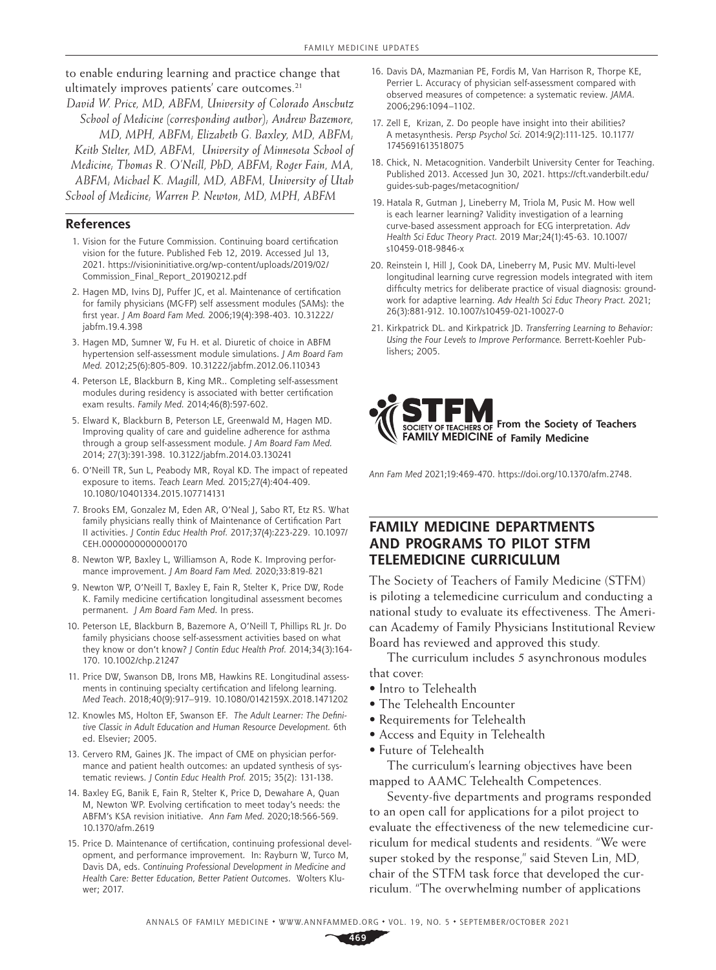to enable enduring learning and practice change that ultimately improves patients' care outcomes.<sup>21</sup>

*David W. Price, MD, ABFM, University of Colorado Anschutz School of Medicine (corresponding author); Andrew Bazemore, MD, MPH, ABFM; Elizabeth G. Baxley, MD, ABFM; Keith Stelter, MD, ABFM, University of Minnesota School of Medicine; Thomas R. O'Neill, PhD, ABFM; Roger Fain, MA, ABFM; Michael K. Magill, MD, ABFM, University of Utah School of Medicine; Warren P. Newton, MD, MPH, ABFM*

## **References**

- 1. Vision for the Future Commission. Continuing board certification vision for the future. Published Feb 12, 2019. Accessed Jul 13, 2021. [https://visioninitiative.org/wp-content/uploads/2019/02/](https://visioninitiative.org/wp-content/uploads/2019/02/Commission_Final_Report_20190212.pdf) [Commission\\_Final\\_Report\\_20190212.pdf](https://visioninitiative.org/wp-content/uploads/2019/02/Commission_Final_Report_20190212.pdf)
- 2. Hagen MD, Ivins DJ, Puffer JC, et al. Maintenance of certification for family physicians (MC-FP) self assessment modules (SAMs): the first year. *J Am Board Fam Med.* 2006;19(4):398-403. [10.31222/](https://doi.org/10.31222/jabfm.19.4.398) [jabfm.19.4.398](https://doi.org/10.31222/jabfm.19.4.398)
- 3. Hagen MD, Sumner W, Fu H. et al. Diuretic of choice in ABFM hypertension self-assessment module simulations. *J Am Board Fam Med.* 2012;25(6):805-809. [10.31222/jabfm.2012.06.110343](https://doi.org/10.31222/jabfm.2012.06.110343)
- 4. Peterson LE, Blackburn B, King MR.. Completing self-assessment modules during residency is associated with better certification exam results. *Family Med*. 2014;46(8):597-602.
- 5. Elward K, Blackburn B, Peterson LE, Greenwald M, Hagen MD. Improving quality of care and guideline adherence for asthma through a group self-assessment module. *J Am Board Fam Med.* 2014; 27(3):391-398. [10.3122/jabfm.2014.03.130241](https://doi.org/10.3122/jabfm.2014.03.130241)
- 6. O'Neill TR, Sun L, Peabody MR, Royal KD. The impact of repeated exposure to items. *Teach Learn Med.* 2015;27(4):404-409. [10.1080/10401334.2015.107714131](https://doi.org/10.1080/10401334.2015.107714131)
- 7. Brooks EM, Gonzalez M, Eden AR, O'Neal J, Sabo RT, Etz RS. What family physicians really think of Maintenance of Certification Part II activities. *J Contin Educ Health Prof.* 2017;37(4):223-229. [10.1097/](https://doi.org/10.1097/CEH.0000000000000170) [CEH.0000000000000170](https://doi.org/10.1097/CEH.0000000000000170)
- 8. Newton WP, Baxley L, Williamson A, Rode K. Improving performance improvement. *J Am Board Fam Med.* 2020;33:819-821
- 9. Newton WP, O'Neill T, Baxley E, Fain R, Stelter K, Price DW, Rode K. Family medicine certification longitudinal assessment becomes permanent. *J Am Board Fam Med*. In press.
- 10. Peterson LE, Blackburn B, Bazemore A, O'Neill T, Phillips RL Jr. Do family physicians choose self-assessment activities based on what they know or don't know? *J Contin Educ Health Prof.* 2014;34(3):164- 170. [10.1002/chp.21247](https://doi.org/10.1002/chp.21247)
- 11. Price DW, Swanson DB, Irons MB, Hawkins RE. Longitudinal assessments in continuing specialty certification and lifelong learning. *Med Teach*. 2018;40(9):917–919. [10.1080/0142159X.2018.1471202](https://doi.org/10.1080/0142159X.2018.1471202)
- 12. Knowles MS, Holton EF, Swanson EF. *The Adult Learner: The Definitive Classic in Adult Education and Human Resource Development.* 6th ed. Elsevier; 2005.
- 13. Cervero RM, Gaines JK. The impact of CME on physician performance and patient health outcomes: an updated synthesis of systematic reviews. *J Contin Educ Health Prof.* 2015; 35(2): 131-138.
- 14. Baxley EG, Banik E, Fain R, Stelter K, Price D, Dewahare A, Quan M, Newton WP. Evolving certification to meet today's needs: the ABFM's KSA revision initiative. *Ann Fam Med.* 2020;18:566-569. [10.1370/afm.2619](https://doi.org/10.1370/afm.2619)
- 15. Price D. Maintenance of certification, continuing professional development, and performance improvement. In: Rayburn W, Turco M, Davis DA, eds. *Continuing Professional Development in Medicine and Health Care: Better Education, Better Patient Outcomes*. Wolters Kluwer; 2017.
- 16. Davis DA, Mazmanian PE, Fordis M, Van Harrison R, Thorpe KE, Perrier L. Accuracy of physician self-assessment compared with observed measures of competence: a systematic review. *JAMA.* 2006;296:1094–1102.
- 17. Zell E, Krizan, Z. Do people have insight into their abilities? A metasynthesis. *Persp Psychol Sci.* 2014:9(2):111-125. [10.1177/](https://doi.org/10.1177/1745691613518075) [1745691613518075](https://doi.org/10.1177/1745691613518075)
- 18. Chick, N. Metacognition. Vanderbilt University Center for Teaching. Published 2013. Accessed Jun 30, 2021. [https://cft.vanderbilt.edu/](https://cft.vanderbilt.edu/guides-sub-pages/metacognition/) [guides-sub-pages/metacognition/](https://cft.vanderbilt.edu/guides-sub-pages/metacognition/)
- 19. Hatala R, Gutman J, Lineberry M, Triola M, Pusic M. How well is each learner learning? Validity investigation of a learning curve-based assessment approach for ECG interpretation. *Adv Health Sci Educ Theory Pract.* 2019 Mar;24(1):45-63. [10.1007/](https://doi.org/10.1007/s10459-018-9846-x) [s10459-018-9846-x](https://doi.org/10.1007/s10459-018-9846-x)
- 20. Reinstein I, Hill J, Cook DA, Lineberry M, Pusic MV. Multi-level longitudinal learning curve regression models integrated with item difficulty metrics for deliberate practice of visual diagnosis: groundwork for adaptive learning. *Adv Health Sci Educ Theory Pract.* 2021; 26(3):881-912. [10.1007/s10459-021-10027-0](https://doi.org/10.1007/s10459-021-10027-0)
- 21. Kirkpatrick DL. and Kirkpatrick JD. *Transferring Learning to Behavior: Using the Four Levels to Improve Performance.* Berrett-Koehler Publishers; 2005.



*Ann Fam Med* 2021;19:469-470. [https://doi.org/10.1370/afm.2748.](https://doi.org/10.1370/afm.2748)

## **FAMILY MEDICINE DEPARTMENTS AND PROGRAMS TO PILOT STFM TELEMEDICINE CURRICULUM**

The Society of Teachers of Family Medicine (STFM) is piloting a telemedicine curriculum and conducting a national study to evaluate its effectiveness. The American Academy of Family Physicians Institutional Review Board has reviewed and approved this study.

The curriculum includes 5 asynchronous modules that cover:

- Intro to Telehealth
- The Telehealth Encounter
- Requirements for Telehealth
- Access and Equity in Telehealth
- Future of Telehealth

The curriculum's learning objectives have been mapped to AAMC Telehealth Competences.

Seventy-five departments and programs responded to an open call for applications for a pilot project to evaluate the effectiveness of the new telemedicine curriculum for medical students and residents. "We were super stoked by the response," said Steven Lin, MD, chair of the STFM task force that developed the curriculum. "The overwhelming number of applications